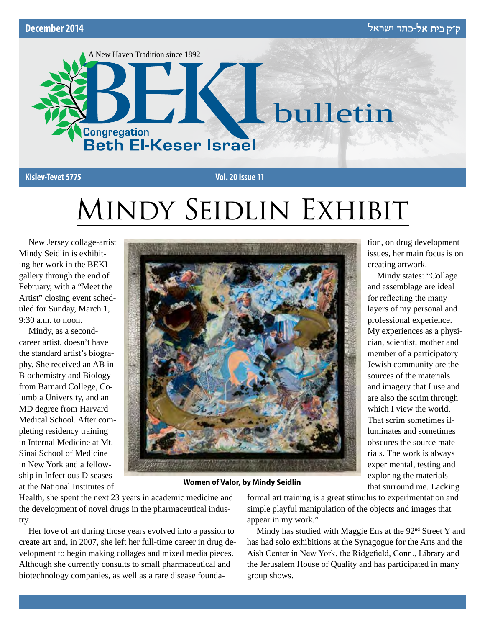

# Mindy Seidlin Exhibit

New Jersey collage-artist Mindy Seidlin is exhibiting her work in the BEKI gallery through the end of February, with a "Meet the Artist" closing event scheduled for Sunday, March 1, 9:30 a.m. to noon.

Mindy, as a secondcareer artist, doesn't have the standard artist's biography. She received an AB in Biochemistry and Biology from Barnard College, Columbia University, and an MD degree from Harvard Medical School. After completing residency training in Internal Medicine at Mt. Sinai School of Medicine in New York and a fellowship in Infectious Diseases at the National Institutes of



tion, on drug development issues, her main focus is on creating artwork.

Mindy states: "Collage and assemblage are ideal for reflecting the many layers of my personal and professional experience. My experiences as a physician, scientist, mother and member of a participatory Jewish community are the sources of the materials and imagery that I use and are also the scrim through which I view the world. That scrim sometimes illuminates and sometimes obscures the source materials. The work is always experimental, testing and exploring the materials that surround me. Lacking

**Women of Valor, by Mindy Seidlin**

Health, she spent the next 23 years in academic medicine and the development of novel drugs in the pharmaceutical industry.

Her love of art during those years evolved into a passion to create art and, in 2007, she left her full-time career in drug development to begin making collages and mixed media pieces. Although she currently consults to small pharmaceutical and biotechnology companies, as well as a rare disease foundaformal art training is a great stimulus to experimentation and simple playful manipulation of the objects and images that appear in my work."

Mindy has studied with Maggie Ens at the  $92<sup>nd</sup>$  Street Y and has had solo exhibitions at the Synagogue for the Arts and the Aish Center in New York, the Ridgefield, Conn., Library and the Jerusalem House of Quality and has participated in many group shows.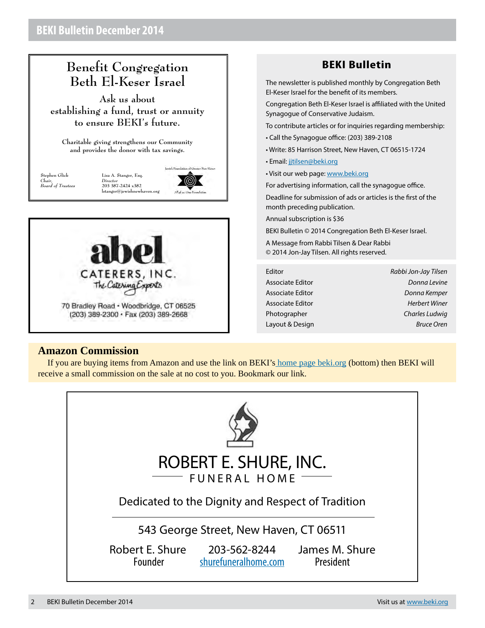# **Benefit Congregation Beth El-Keser Israel**

**Ask us about establishing a fund, trust or annuity to ensure BEKI's future.**

**Charitable giving strengthens our Community and provides the donor with tax savings.**

**Stephen Glick** *Chair, Board of Trustees*

lewish Foundation of Greater New Haves **Lisa A. Stanger, Esq.** *Director* **203 387-2424 x382**  $l$ stanger@jewishnewhav

(@)



# **BEKI Bulletin**

The newsletter is published monthly by Congregation Beth El-Keser Israel for the benefit of its members.

Congregation Beth El-Keser Israel is affiliated with the United Synagogue of Conservative Judaism.

To contribute articles or for inquiries regarding membership:

- Call the Synagogue office: (203) 389-2108
- Write: 85 Harrison Street, New Haven, CT 06515-1724
- Email: [jjtilsen@beki.org](mailto:jjtilsen@beki.org)
- Visit our web page: [www.beki.org](http://www.beki.org)

For advertising information, call the synagogue office.

Deadline for submission of ads or articles is the first of the month preceding publication.

Annual subscription is \$36

BEKI Bulletin © 2014 Congregation Beth El-Keser Israel.

A Message from Rabbi Tilsen & Dear Rabbi © 2014 Jon-Jay Tilsen. All rights reserved.

| Editor           | Rabbi Jon-Jay Tilsen |
|------------------|----------------------|
| Associate Editor | Donna Levine         |
| Associate Editor | Donna Kemper         |
| Associate Editor | Herbert Winer        |
| Photographer     | Charles Ludwig       |
| Layout & Design  | <b>Bruce Oren</b>    |

#### **Amazon Commission**

If you are buying items from Amazon and use the link on BEK[I's home page beki.o](http://www.beki.org)rg (bottom) then BEKI will receive a small commission on the sale at no cost to you. Bookmark our link.

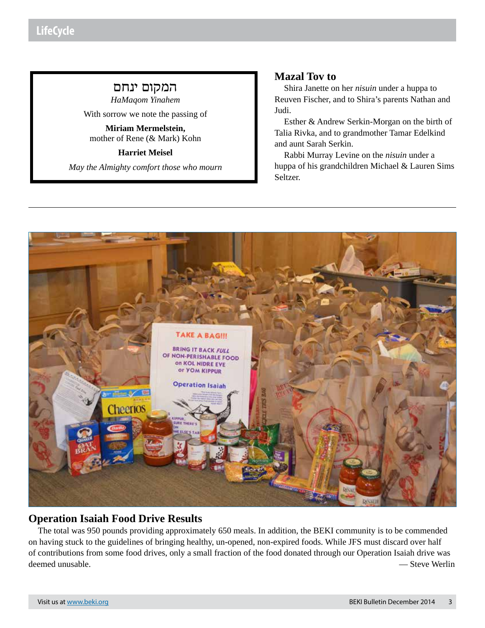# המקום ינחם

*HaMaqom Yinahem* With sorrow we note the passing of

**Miriam Mermelstein,**  mother of Rene (& Mark) Kohn

**Harriet Meisel**

*May the Almighty comfort those who mourn*

# **Mazal Tov to**

Shira Janette on her *nisuin* under a huppa to Reuven Fischer, and to Shira's parents Nathan and Judi.

Esther & Andrew Serkin-Morgan on the birth of Talia Rivka, and to grandmother Tamar Edelkind and aunt Sarah Serkin.

Rabbi Murray Levine on the *nisuin* under a huppa of his grandchildren Michael & Lauren Sims Seltzer.



# **Operation Isaiah Food Drive Results**

The total was 950 pounds providing approximately 650 meals. In addition, the BEKI community is to be commended on having stuck to the guidelines of bringing healthy, un-opened, non-expired foods. While JFS must discard over half of contributions from some food drives, only a small fraction of the food donated through our Operation Isaiah drive was deemed unusable. — Steve Werlin and the steve Werlin and the steve Steve Werlin and the steve Werlin and the steve Werlin and the steve Werlin and the steve Werlin and the steve Werlin and the steve Werlin and the steve We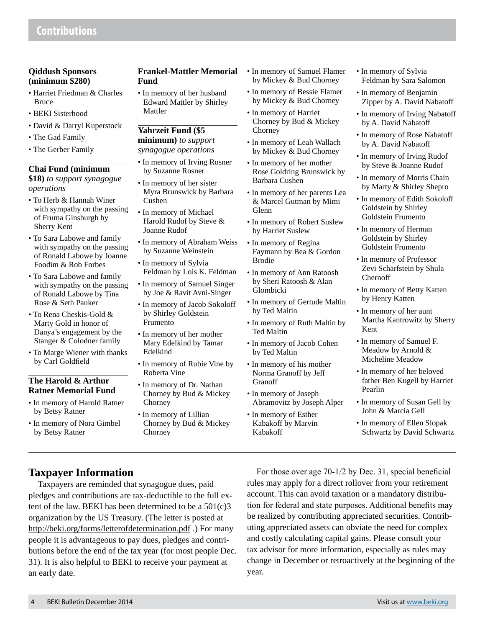#### **Qiddush Sponsors (minimum \$280)**

- Harriet Friedman & Charles Bruce
- BEKI Sisterhood
- David & Darryl Kuperstock
- The Gad Family
- The Gerber Family

#### **Chai Fund (minimum**

**\$18)** *to support synagogue operations*

- To Herb & Hannah Winer with sympathy on the passing of Fruma Ginsburgh by Sherry Kent
- To Sara Labowe and family with sympathy on the passing of Ronald Labowe by Joanne Foodim & Rob Forbes
- To Sara Labowe and family with sympathy on the passing of Ronald Labowe by Tina Rose & Seth Pauker
- To Rena Cheskis-Gold & Marty Gold in honor of Danya's engagement by the Stanger & Colodner family
- To Marge Wiener with thanks by Carl Goldfield

#### **The Harold & Arthur Ratner Memorial Fund**

- In memory of Harold Ratner by Betsy Ratner
- In memory of Nora Gimbel by Betsy Ratner

#### **Frankel-Mattler Memorial Fund**

• In memory of her husband Edward Mattler by Shirley Mattler

#### **Yahrzeit Fund (\$5**

**minimum)** *to support synagogue operations*

- In memory of Irving Rosner by Suzanne Rosner
- In memory of her sister Myra Brunswick by Barbara Cushen
- In memory of Michael Harold Rudof by Steve & Joanne Rudof
- In memory of Abraham Weiss by Suzanne Weinstein
- In memory of Sylvia Feldman by Lois K. Feldman
- In memory of Samuel Singer by Joe & Ravit Avni-Singer
- In memory of Jacob Sokoloff by Shirley Goldstein Frumento
- In memory of her mother Mary Edelkind by Tamar Edelkind
- In memory of Rubie Vine by Roberta Vine
- In memory of Dr. Nathan Chorney by Bud & Mickey Chorney
- In memory of Lillian Chorney by Bud & Mickey Chorney
- In memory of Samuel Flamer by Mickey & Bud Chorney
- In memory of Bessie Flamer by Mickey & Bud Chorney
- In memory of Harriet Chorney by Bud & Mickey Chorney
- In memory of Leah Wallach by Mickey & Bud Chorney
- In memory of her mother Rose Goldring Brunswick by Barbara Cushen
- In memory of her parents Lea & Marcel Gutman by Mimi Glenn
- In memory of Robert Suslew by Harriet Suslew
- In memory of Regina Faymann by Bea & Gordon Brodie
- In memory of Ann Ratoosh by Sheri Ratoosh & Alan Glombicki
- In memory of Gertude Maltin by Ted Maltin
- In memory of Ruth Maltin by Ted Maltin
- In memory of Jacob Cohen by Ted Maltin
- In memory of his mother Norma Granoff by Jeff Granoff
- In memory of Joseph Abramovitz by Joseph Alper
- In memory of Esther Kabakoff by Marvin Kabakoff
- In memory of Sylvia Feldman by Sara Salomon
- In memory of Benjamin Zipper by A. David Nabatoff
- In memory of Irving Nabatoff by A. David Nabatoff
- In memory of Rose Nabatoff by A. David Nabatoff
- In memory of Irving Rudof by Steve & Joanne Rudof
- In memory of Morris Chain by Marty & Shirley Shepro
- In memory of Edith Sokoloff Goldstein by Shirley Goldstein Frumento
- In memory of Herman Goldstein by Shirley Goldstein Frumento
- In memory of Professor Zevi Scharfstein by Shula Chernoff
- In memory of Betty Katten by Henry Katten
- In memory of her aunt Martha Kantrowitz by Sherry Kent
- In memory of Samuel F. Meadow by Arnold & Micheline Meadow
- In memory of her beloved father Ben Kugell by Harriet Pearlin
- In memory of Susan Gell by John & Marcia Gell
- In memory of Ellen Slopak Schwartz by David Schwartz

# **Taxpayer Information**

Taxpayers are reminded that synagogue dues, paid pledges and contributions are tax-deductible to the full extent of the law. BEKI has been determined to be a  $501(c)3$ organization by the US Treasury. (The letter is posted at http://beki.org/forms/letterofdetermination.pdf .) For many people it is advantageous to pay dues, pledges and contributions before the end of the tax year (for most people Dec. 31). It is also helpful to BEKI to receive your payment at an early date.

For those over age 70-1/2 by Dec. 31, special beneficial rules may apply for a direct rollover from your retirement account. This can avoid taxation or a mandatory distribution for federal and state purposes. Additional benefits may be realized by contributing appreciated securities. Contributing appreciated assets can obviate the need for complex and costly calculating capital gains. Please consult your tax advisor for more information, especially as rules may change in December or retroactively at the beginning of the year.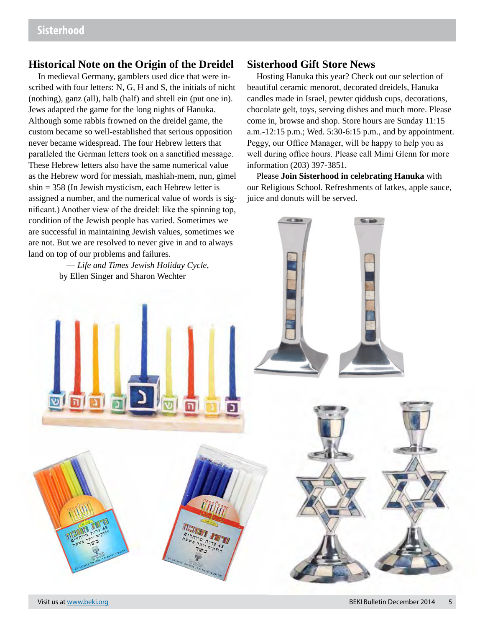## **Historical Note on the Origin of the Dreidel**

In medieval Germany, gamblers used dice that were inscribed with four letters: N, G, H and S, the initials of nicht (nothing), ganz (all), halb (half) and shtell ein (put one in). Jews adapted the game for the long nights of Hanuka. Although some rabbis frowned on the dreidel game, the custom became so well-established that serious opposition never became widespread. The four Hebrew letters that paralleled the German letters took on a sanctified message. These Hebrew letters also have the same numerical value as the Hebrew word for messiah, mashiah-mem, nun, gimel shin = 358 (In Jewish mysticism, each Hebrew letter is assigned a number, and the numerical value of words is significant.) Another view of the dreidel: like the spinning top,

#### **Sisterhood Gift Store News**

Hosting Hanuka this year? Check out our selection of beautiful ceramic menorot, decorated dreidels, Hanuka candles made in Israel, pewter qiddush cups, decorations, chocolate gelt, toys, serving dishes and much more. Please come in, browse and shop. Store hours are Sunday 11:15 a.m.-12:15 p.m.; Wed. 5:30-6:15 p.m., and by appointment. Peggy, our Office Manager, will be happy to help you as well during office hours. Please call Mimi Glenn for more information (203) 397-3851.

Please **Join Sisterhood in celebrating Hanuka** with our Religious School. Refreshments of latkes, apple sauce, juice and donuts will be served.

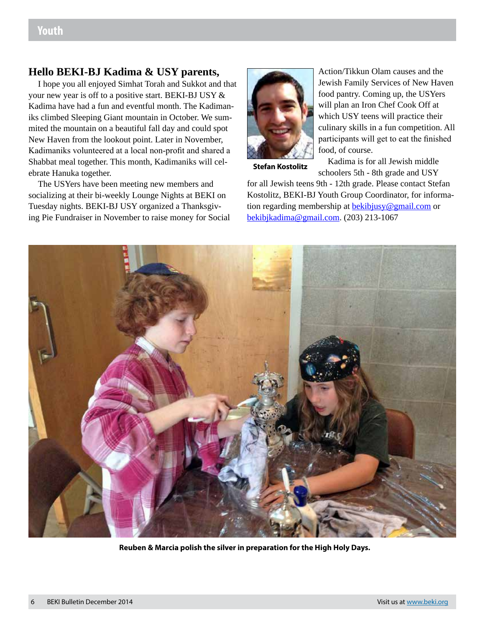# **Hello BEKI-BJ Kadima & USY parents,**

I hope you all enjoyed Simhat Torah and Sukkot and that your new year is off to a positive start. BEKI-BJ USY & Kadima have had a fun and eventful month. The Kadimaniks climbed Sleeping Giant mountain in October. We summited the mountain on a beautiful fall day and could spot New Haven from the lookout point. Later in November, Kadimaniks volunteered at a local non-profit and shared a Shabbat meal together. This month, Kadimaniks will celebrate Hanuka together.

The USYers have been meeting new members and socializing at their bi-weekly Lounge Nights at BEKI on Tuesday nights. BEKI-BJ USY organized a Thanksgiving Pie Fundraiser in November to raise money for Social



Action/Tikkun Olam causes and the Jewish Family Services of New Haven food pantry. Coming up, the USYers will plan an Iron Chef Cook Off at which USY teens will practice their culinary skills in a fun competition. All participants will get to eat the finished food, of course.

**Stefan Kostolitz**

Kadima is for all Jewish middle schoolers 5th - 8th grade and USY

for all Jewish teens 9th - 12th grade. Please contact Stefan Kostolitz, BEKI-BJ Youth Group Coordinator, for information regarding membership at bekibjusy@gmail.com or bekibjkadima@gmail.com. (203) 213-1067



**Reuben & Marcia polish the silver in preparation for the High Holy Days.**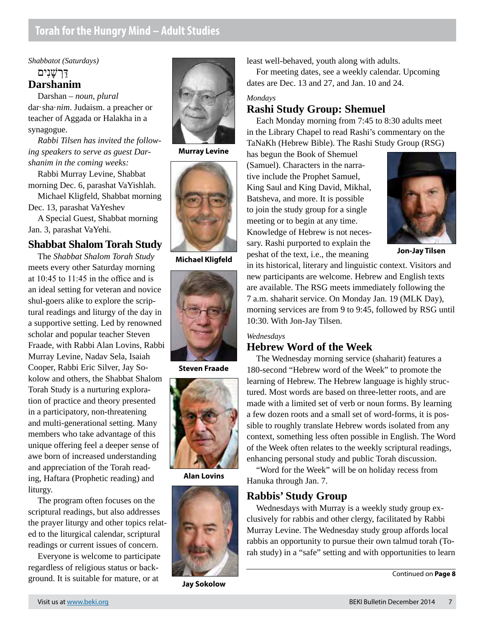## *Shabbatot (Saturdays)* דַּרְ שָׁנִים **Darshanim**

Darshan – *noun, plural* dar·sha·*nim*. Judaism. a preacher or teacher of Aggada or Halakha in a synagogue.

*Rabbi Tilsen has invited the following speakers to serve as guest Darshanim in the coming weeks:*

Rabbi Murray Levine, Shabbat morning Dec. 6, parashat VaYishlah.

Michael Kligfeld, Shabbat morning Dec. 13, parashat VaYeshev

A Special Guest, Shabbat morning Jan. 3, parashat VaYehi.

# **Shabbat Shalom Torah Study**

The *Shabbat Shalom Torah Study* meets every other Saturday morning at 10:45 to 11:45 in the office and is an ideal setting for veteran and novice shul-goers alike to explore the scriptural readings and liturgy of the day in a supportive setting. Led by renowned scholar and popular teacher Steven Fraade, with Rabbi Alan Lovins, Rabbi Murray Levine, Nadav Sela, Isaiah Cooper, Rabbi Eric Silver, Jay Sokolow and others, the Shabbat Shalom Torah Study is a nurturing exploration of practice and theory presented in a participatory, non-threatening and multi-generational setting. Many members who take advantage of this unique offering feel a deeper sense of awe born of increased understanding and appreciation of the Torah reading, Haftara (Prophetic reading) and liturgy.

The program often focuses on the scriptural readings, but also addresses the prayer liturgy and other topics related to the liturgical calendar, scriptural readings or current issues of concern.

Everyone is welcome to participate regardless of religious status or background. It is suitable for mature, or at



**Murray Levine**



**Michael Kligfeld**



**Steven Fraade**



**Alan Lovins**



**Jay Sokolow**

least well-behaved, youth along with adults.

For meeting dates, see a weekly calendar. Upcoming dates are Dec. 13 and 27, and Jan. 10 and 24.

#### *Mondays*

# **Rashi Study Group: Shemuel**

Each Monday morning from 7:45 to 8:30 adults meet in the Library Chapel to read Rashi's commentary on the TaNaKh (Hebrew Bible). The Rashi Study Group (RSG)

has begun the Book of Shemuel (Samuel). Characters in the narrative include the Prophet Samuel, King Saul and King David, Mikhal, Batsheva, and more. It is possible to join the study group for a single meeting or to begin at any time. Knowledge of Hebrew is not necessary. Rashi purported to explain the peshat of the text, i.e., the meaning



**Jon-Jay Tilsen**

in its historical, literary and linguistic context. Visitors and new participants are welcome. Hebrew and English texts are available. The RSG meets immediately following the 7 a.m. shaharit service. On Monday Jan. 19 (MLK Day), morning services are from 9 to 9:45, followed by RSG until 10:30. With Jon-Jay Tilsen.

#### *Wednesdays*

#### **Hebrew Word of the Week**

The Wednesday morning service (shaharit) features a 180-second "Hebrew word of the Week" to promote the learning of Hebrew. The Hebrew language is highly structured. Most words are based on three-letter roots, and are made with a limited set of verb or noun forms. By learning a few dozen roots and a small set of word-forms, it is possible to roughly translate Hebrew words isolated from any context, something less often possible in English. The Word of the Week often relates to the weekly scriptural readings, enhancing personal study and public Torah discussion.

"Word for the Week" will be on holiday recess from Hanuka through Jan. 7.

# **Rabbis' Study Group**

Wednesdays with Murray is a weekly study group exclusively for rabbis and other clergy, facilitated by Rabbi Murray Levine. The Wednesday study group affords local rabbis an opportunity to pursue their own talmud torah (Torah study) in a "safe" setting and with opportunities to learn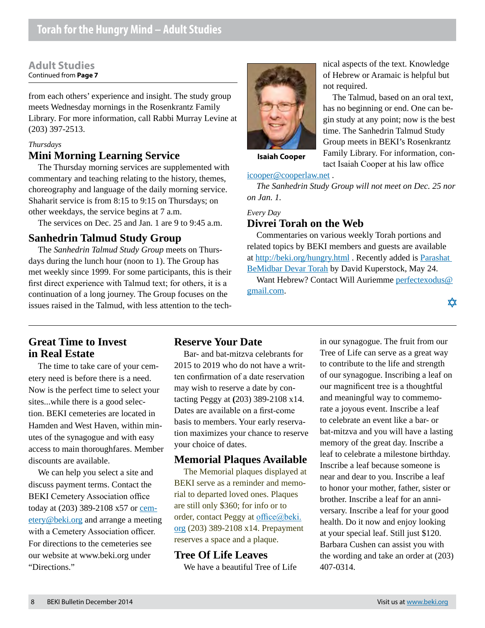#### **Adult Studies** Continued from **Page 7**

from each others' experience and insight. The study group meets Wednesday mornings in the Rosenkrantz Family Library. For more information, call Rabbi Murray Levine at (203) 397-2513.

### *Thursdays*

# **Mini Morning Learning Service**

The Thursday morning services are supplemented with commentary and teaching relating to the history, themes, choreography and language of the daily morning service. Shaharit service is from 8:15 to 9:15 on Thursdays; on other weekdays, the service begins at 7 a.m.

The services on Dec. 25 and Jan. 1 are 9 to 9:45 a.m.

# **Sanhedrin Talmud Study Group**

The *Sanhedrin Talmud Study Group* meets on Thursdays during the lunch hour (noon to 1). The Group has met weekly since 1999. For some participants, this is their first direct experience with Talmud text; for others, it is a continuation of a long journey. The Group focuses on the issues raised in the Talmud, with less attention to the tech-



nical aspects of the text. Knowledge of Hebrew or Aramaic is helpful but not required.

The Talmud, based on an oral text, has no beginning or end. One can begin study at any point; now is the best time. The Sanhedrin Talmud Study Group meets in BEKI's Rosenkrantz Family Library. For information, contact Isaiah Cooper at his law office

**Isaiah Cooper**

#### icooper@cooperlaw.net .

*The Sanhedrin Study Group will not meet on Dec. 25 nor on Jan. 1.*

#### *Every Day* **Divrei Torah on the Web**

Commentaries on various weekly Torah portions and related topics by BEKI members and guests are available at http://beki.org/hungry.html . Recently added is Parashat BeMidbar Devar Torah by David Kuperstock, May 24.

Want Hebrew? Contact Will Auriemme perfectexodus@ gmail.com.

於

# **Great Time to Invest in Real Estate**

The time to take care of your cemetery need is before there is a need. Now is the perfect time to select your sites...while there is a good selection. BEKI cemeteries are located in Hamden and West Haven, within minutes of the synagogue and with easy access to main thoroughfares. Member discounts are available.

We can help you select a site and discuss payment terms. Contact the BEKI Cemetery Association office today at (203) 389-2108 x57 or cemetery@beki.org and arrange a meeting with a Cemetery Association officer. For directions to the cemeteries see our website at www.beki.org under "Directions."

# **Reserve Your Date**

Bar- and bat-mitzva celebrants for 2015 to 2019 who do not have a written confirmation of a date reservation may wish to reserve a date by contacting Peggy at **(**203) 389-2108 x14. Dates are available on a first-come basis to members. Your early reservation maximizes your chance to reserve your choice of dates.

# **Memorial Plaques Available**

The Memorial plaques displayed at BEKI serve as a reminder and memorial to departed loved ones. Plaques are still only \$360; for info or to order, contact Peggy at office@beki. org (203) 389-2108 x14. Prepayment reserves a space and a plaque.

# **Tree Of Life Leaves**

We have a beautiful Tree of Life

in our synagogue. The fruit from our Tree of Life can serve as a great way to contribute to the life and strength of our synagogue. Inscribing a leaf on our magnificent tree is a thoughtful and meaningful way to commemorate a joyous event. Inscribe a leaf to celebrate an event like a bar- or bat-mitzva and you will have a lasting memory of the great day. Inscribe a leaf to celebrate a milestone birthday. Inscribe a leaf because someone is near and dear to you. Inscribe a leaf to honor your mother, father, sister or brother. Inscribe a leaf for an anniversary. Inscribe a leaf for your good health. Do it now and enjoy looking at your special leaf. Still just \$120. Barbara Cushen can assist you with the wording and take an order at (203) 407-0314.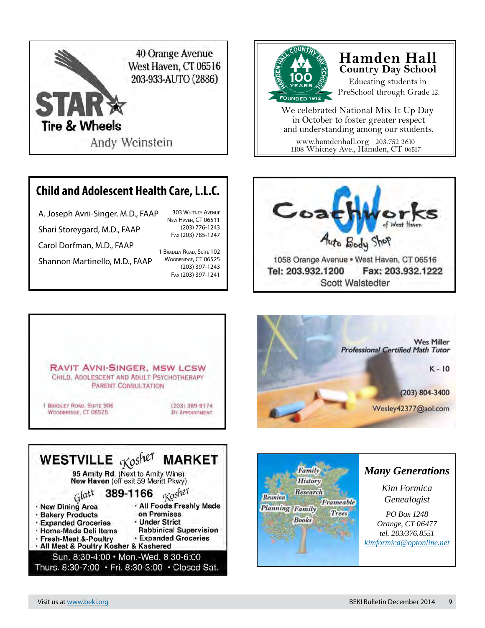

# **Child and Adolescent Health Care, L.L.C.**

A. Joseph Avni-Singer. M.D., FAAP Shari Storeygard, M.D., FAAP Carol Dorfman, M.D., FAAP New Haven, CT 06511 Fax (203) 785-1247

Shannon Martinello, M.D., FAAP

1 Bradley Road, Suite 102 WOODBRIDGE, CT 06525 (203) 397-1243 Fax (203) 397-1241

303 Whitney Avenue

(203) 776-1243



# **Hamden Hall Country Day School**

Educating students in PreSchool through Grade 12.

www.hamdenhall.org 203.752.2610 We celebrated National Mix It Up Day in October to foster greater respect and understanding among our students.

1108 Whitney Ave., Hamden, CT 06517











# *Many Generations*

*Kim Formica Genealogist*

*PO Box 1248 Orange, CT 06477 tel. 203/376.8551 [kimformica@optonline.net](mailto:kimformica@optonline.net)*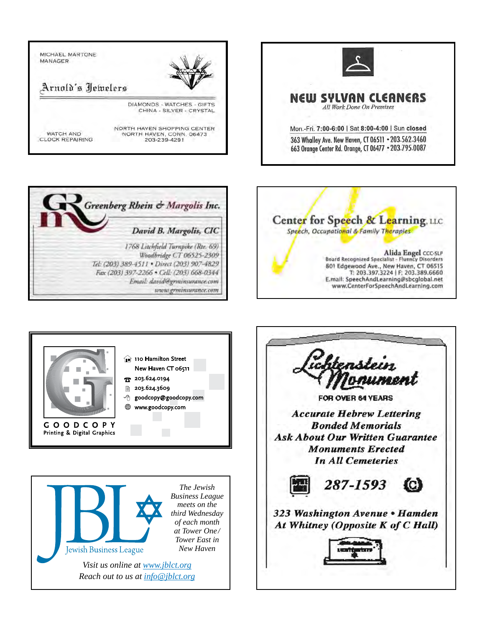









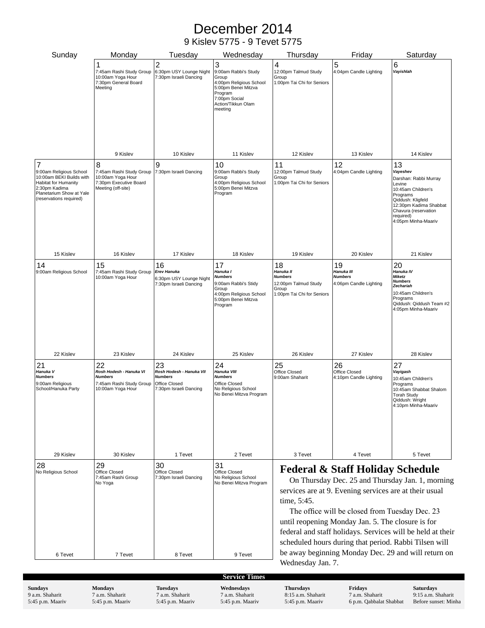# December 2014

# 9 Kislev 5775 - 9 Tevet 5775

| Sunday                                                                                                                                                          | Monday                                                                                             | Tuesday                                                                                     | Wednesday                                                                                                                                         | Thursday                                                                                                                                                                                                                                                                                                                                                                                               | Friday                                                       | Saturday                                                                                                                                                                                       |
|-----------------------------------------------------------------------------------------------------------------------------------------------------------------|----------------------------------------------------------------------------------------------------|---------------------------------------------------------------------------------------------|---------------------------------------------------------------------------------------------------------------------------------------------------|--------------------------------------------------------------------------------------------------------------------------------------------------------------------------------------------------------------------------------------------------------------------------------------------------------------------------------------------------------------------------------------------------------|--------------------------------------------------------------|------------------------------------------------------------------------------------------------------------------------------------------------------------------------------------------------|
|                                                                                                                                                                 | 1<br>7:45am Rashi Study Group<br>10:00am Yoga Hour<br>7:30pm General Board<br>Meeting              | $\overline{c}$<br>6:30pm USY Lounge Night<br>7:30pm Israeli Dancing                         | 3<br>9:00am Rabbi's Study<br>Group<br>4:00pm Religious School<br>5:00pm Benei Mitzva<br>Program<br>7:00pm Social<br>Action/Tikkun Olam<br>meeting | 4<br>12:00pm Talmud Study<br>Group<br>1:00pm Tai Chi for Seniors                                                                                                                                                                                                                                                                                                                                       | 5<br>4:04pm Candle Lighting                                  | 6<br>Vayishlah                                                                                                                                                                                 |
|                                                                                                                                                                 | 9 Kislev                                                                                           | 10 Kislev                                                                                   | 11 Kislev                                                                                                                                         | 12 Kislev                                                                                                                                                                                                                                                                                                                                                                                              | 13 Kislev                                                    | 14 Kislev                                                                                                                                                                                      |
| 7<br>9:00am Religious School<br>10:00am BEKI Builds with<br><b>Habitat for Humanity</b><br>2:30pm Kadima<br>Planetarium Show at Yale<br>(reservations required) | 8<br>7:45am Rashi Study Group<br>10:00am Yoga Hour<br>7:30pm Executive Board<br>Meeting (off-site) | 9<br>7:30pm Israeli Dancing                                                                 | 10<br>9:00am Rabbi's Study<br>Group<br>4:00pm Religious School<br>5:00pm Benei Mitzva<br>Program                                                  | 11<br>12:00pm Talmud Study<br>Group<br>1:00pm Tai Chi for Seniors                                                                                                                                                                                                                                                                                                                                      | 12<br>4:04pm Candle Lighting                                 | 13<br>Vayeshev<br>Darshan: Rabbi Murray<br>Levine<br>10:45am Children's<br>Programs<br>Qiddush: Kligfeld<br>12:30pm Kadima Shabbat<br>Chavura (reservation<br>required)<br>4:05pm Minha-Maariv |
| 15 Kislev                                                                                                                                                       | 16 Kislev                                                                                          | 17 Kislev                                                                                   | 18 Kislev                                                                                                                                         | 19 Kislev                                                                                                                                                                                                                                                                                                                                                                                              | 20 Kislev                                                    | 21 Kislev                                                                                                                                                                                      |
| 14<br>9:00am Religious School                                                                                                                                   | 15<br>7:45am Rashi Study Group<br>10:00am Yoga Hour                                                | 16<br>Erev Hanuka<br>6:30pm USY Lounge Night<br>7:30pm Israeli Dancing                      | 17<br>Hanuka I<br><b>Numbers</b><br>9:00am Rabbi's Stidy<br>Group<br>4:00pm Religious School<br>5:00pm Benei Mitzva<br>Program                    | 18<br>Hanuka II<br><b>Numbers</b><br>12:00pm Talmud Study<br>Group<br>1:00pm Tai Chi for Seniors                                                                                                                                                                                                                                                                                                       | 19<br>Hanuka III<br><b>Numbers</b><br>4:06pm Candle Lighting | 20<br>Hanuka IV<br>Miketz<br><b>Numbers</b><br>Zechariah<br>10:45am Children's<br>Programs<br>Qiddush: Qiddush Team #2<br>4:05pm Minha-Maariv                                                  |
| 22 Kislev                                                                                                                                                       | 23 Kislev                                                                                          | 24 Kislev                                                                                   | 25 Kislev                                                                                                                                         | 26 Kislev                                                                                                                                                                                                                                                                                                                                                                                              | 27 Kislev                                                    | 28 Kislev                                                                                                                                                                                      |
| 21<br>Hanuka V<br><b>Numbers</b><br>9:00am Religious<br>School/Hanuka Party                                                                                     | 22<br>Rosh Hodesh - Hanuka VI<br><b>Numbers</b><br>7:45am Rashi Study Group<br>10:00am Yoga Hour   | 23<br>Rosh Hodesh - Hanuka VII<br><b>Numbers</b><br>Office Closed<br>7:30pm Israeli Dancing | 24<br>Hanuka VIII<br><b>Numbers</b><br>Office Closed<br>No Religious School<br>No Benei Mitzva Program                                            | 25<br>Office Closed<br>9:00am Shaharit                                                                                                                                                                                                                                                                                                                                                                 | 26<br>Office Closed<br>4:10pm Candle Lighting                | 27<br>Vayigash<br>10:45am Children's<br>Programs<br>10:45am Shabbat Shalom<br><b>Torah Study</b><br>Qiddush: Wright<br>4:10pm Minha-Maariv                                                     |
| 29 Kislev                                                                                                                                                       | 30 Kislev                                                                                          | 1 Tevet                                                                                     | 2 Tevet                                                                                                                                           | 3 Tevet                                                                                                                                                                                                                                                                                                                                                                                                | 4 Tevet                                                      | 5 Tevet                                                                                                                                                                                        |
| 28<br>No Religious School                                                                                                                                       | 29<br>Office Closed<br>7:45am Rashi Group<br>No Yoga                                               | 30<br>Office Closed<br>7:30pm Israeli Dancing                                               | 31<br>Office Closed<br>No Religious School<br>No Benei Mitzva Program                                                                             | <b>Federal &amp; Staff Holiday Schedule</b><br>On Thursday Dec. 25 and Thursday Jan. 1, morning<br>services are at 9. Evening services are at their usual<br>time, 5:45.<br>The office will be closed from Tuesday Dec. 23<br>until reopening Monday Jan. 5. The closure is for<br>federal and staff holidays. Services will be held at their<br>scheduled hours during that period. Rabbi Tilsen will |                                                              |                                                                                                                                                                                                |
| 6 Tevet                                                                                                                                                         | 7 Tevet                                                                                            | 8 Tevet                                                                                     | 9 Tevet                                                                                                                                           | be away beginning Monday Dec. 29 and will return on<br>Wednesday Jan. 7.                                                                                                                                                                                                                                                                                                                               |                                                              |                                                                                                                                                                                                |

**Sundays** 9 a.m. Shaharit 5:45 p.m. Maariv **Mondays** 7 a.m. Shaharit 5:45 p.m. Maariv **Tuesdays** 7 a.m. Shaharit 5:45 p.m. Maariv

**Wednesdays** 7 a.m. Shaharit 5:45 p.m. Maariv **Service Times** 

**Thursdays** 8:15 a.m. Shaharit 5:45 p.m. Maariv

**Fridays** 7 a.m. Shaharit 6 p.m. Qabbalat Shabbat **Saturdays** 9:15 a.m. Shaharit Before sunset: Minha